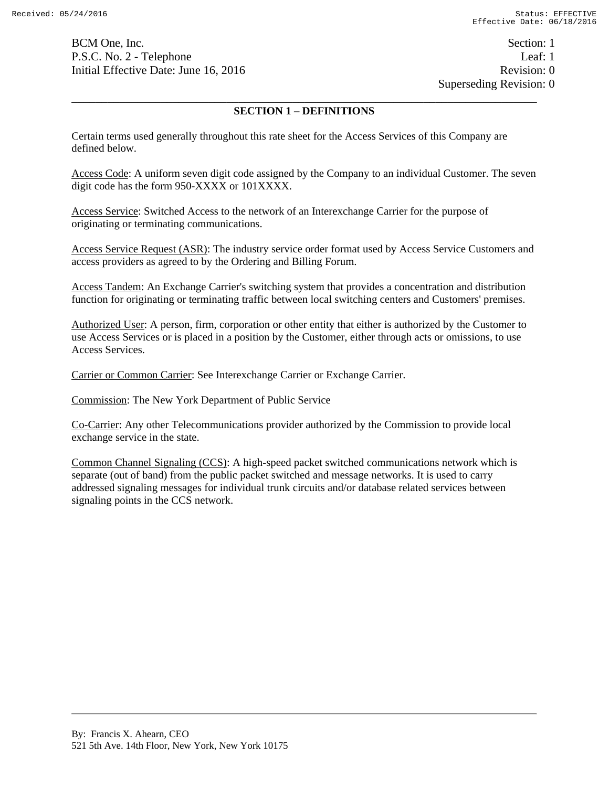BCM One, Inc. Section: 1 P.S.C. No. 2 - Telephone Leaf: 1 Initial Effective Date: June 16, 2016 **Revision: 0** Revision: 0

Superseding Revision: 0

## \_\_\_\_\_\_\_\_\_\_\_\_\_\_\_\_\_\_\_\_\_\_\_\_\_\_\_\_\_\_\_\_\_\_\_\_\_\_\_\_\_\_\_\_\_\_\_\_\_\_\_\_\_\_\_\_\_\_\_\_\_\_\_\_\_\_\_\_\_\_\_\_\_\_\_\_\_\_ **SECTION 1 – DEFINITIONS**

Certain terms used generally throughout this rate sheet for the Access Services of this Company are defined below.

Access Code: A uniform seven digit code assigned by the Company to an individual Customer. The seven digit code has the form 950-XXXX or 101XXXX.

Access Service: Switched Access to the network of an Interexchange Carrier for the purpose of originating or terminating communications.

Access Service Request (ASR): The industry service order format used by Access Service Customers and access providers as agreed to by the Ordering and Billing Forum.

Access Tandem: An Exchange Carrier's switching system that provides a concentration and distribution function for originating or terminating traffic between local switching centers and Customers' premises.

Authorized User: A person, firm, corporation or other entity that either is authorized by the Customer to use Access Services or is placed in a position by the Customer, either through acts or omissions, to use Access Services.

Carrier or Common Carrier: See Interexchange Carrier or Exchange Carrier.

Commission: The New York Department of Public Service

Co-Carrier: Any other Telecommunications provider authorized by the Commission to provide local exchange service in the state.

Common Channel Signaling (CCS): A high-speed packet switched communications network which is separate (out of band) from the public packet switched and message networks. It is used to carry addressed signaling messages for individual trunk circuits and/or database related services between signaling points in the CCS network.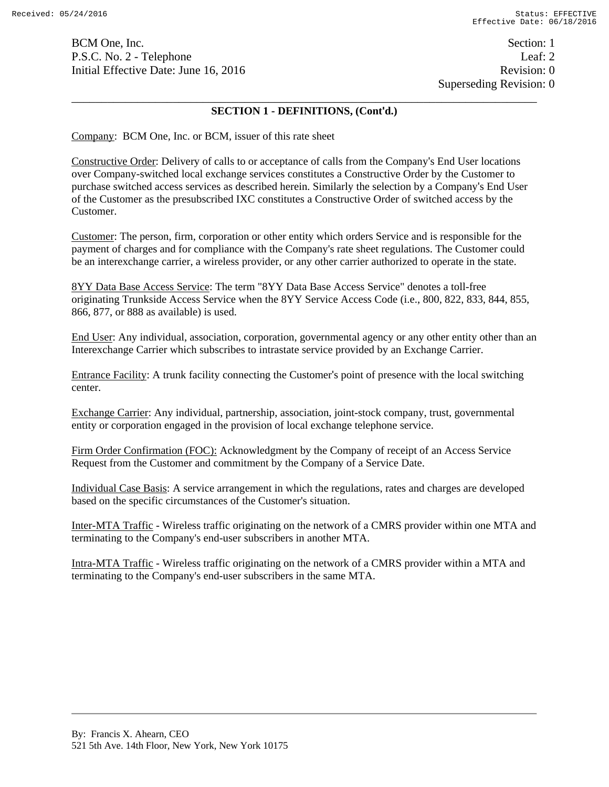BCM One, Inc. Section: 1 P.S.C. No. 2 - Telephone Leaf: 2 Initial Effective Date: June 16, 2016 **Revision: 0** Revision: 0

### \_\_\_\_\_\_\_\_\_\_\_\_\_\_\_\_\_\_\_\_\_\_\_\_\_\_\_\_\_\_\_\_\_\_\_\_\_\_\_\_\_\_\_\_\_\_\_\_\_\_\_\_\_\_\_\_\_\_\_\_\_\_\_\_\_\_\_\_\_\_\_\_\_\_\_\_\_\_ **SECTION 1 - DEFINITIONS, (Cont'd.)**

Company: BCM One, Inc. or BCM, issuer of this rate sheet

Constructive Order: Delivery of calls to or acceptance of calls from the Company's End User locations over Company-switched local exchange services constitutes a Constructive Order by the Customer to purchase switched access services as described herein. Similarly the selection by a Company's End User of the Customer as the presubscribed IXC constitutes a Constructive Order of switched access by the Customer.

Customer: The person, firm, corporation or other entity which orders Service and is responsible for the payment of charges and for compliance with the Company's rate sheet regulations. The Customer could be an interexchange carrier, a wireless provider, or any other carrier authorized to operate in the state.

8YY Data Base Access Service: The term "8YY Data Base Access Service" denotes a toll-free originating Trunkside Access Service when the 8YY Service Access Code (i.e., 800, 822, 833, 844, 855, 866, 877, or 888 as available) is used.

End User: Any individual, association, corporation, governmental agency or any other entity other than an Interexchange Carrier which subscribes to intrastate service provided by an Exchange Carrier.

Entrance Facility: A trunk facility connecting the Customer's point of presence with the local switching center.

Exchange Carrier: Any individual, partnership, association, joint-stock company, trust, governmental entity or corporation engaged in the provision of local exchange telephone service.

Firm Order Confirmation (FOC): Acknowledgment by the Company of receipt of an Access Service Request from the Customer and commitment by the Company of a Service Date.

Individual Case Basis: A service arrangement in which the regulations, rates and charges are developed based on the specific circumstances of the Customer's situation.

Inter-MTA Traffic - Wireless traffic originating on the network of a CMRS provider within one MTA and terminating to the Company's end-user subscribers in another MTA.

Intra-MTA Traffic - Wireless traffic originating on the network of a CMRS provider within a MTA and terminating to the Company's end-user subscribers in the same MTA.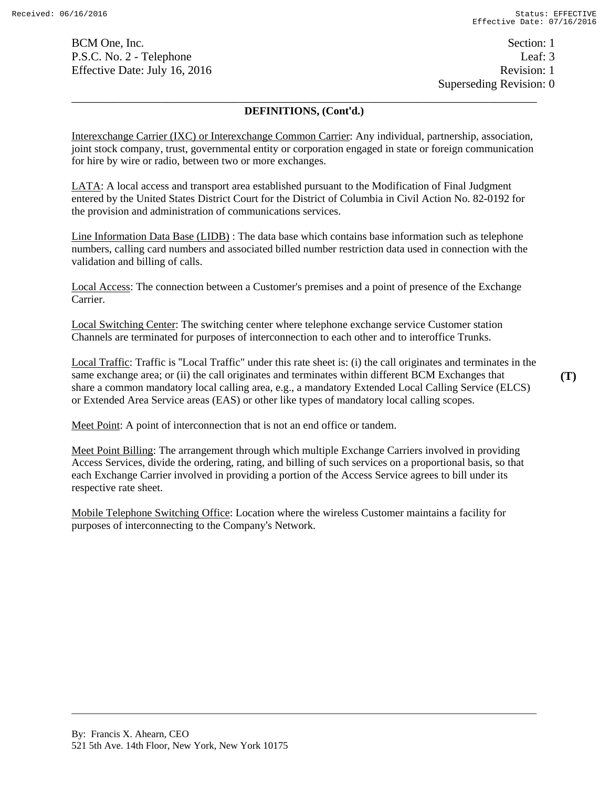BCM One, Inc. Section: 1 P.S.C. No. 2 - Telephone Leaf: 3 Effective Date: July 16, 2016 Revision: 1

 Superseding Revision: 0 \_\_\_\_\_\_\_\_\_\_\_\_\_\_\_\_\_\_\_\_\_\_\_\_\_\_\_\_\_\_\_\_\_\_\_\_\_\_\_\_\_\_\_\_\_\_\_\_\_\_\_\_\_\_\_\_\_\_\_\_\_\_\_\_\_\_\_\_\_\_\_\_\_\_\_\_\_\_

### **DEFINITIONS, (Cont'd.)**

Interexchange Carrier (IXC) or Interexchange Common Carrier: Any individual, partnership, association, joint stock company, trust, governmental entity or corporation engaged in state or foreign communication for hire by wire or radio, between two or more exchanges.

LATA: A local access and transport area established pursuant to the Modification of Final Judgment entered by the United States District Court for the District of Columbia in Civil Action No. 82-0192 for the provision and administration of communications services.

Line Information Data Base (LIDB) : The data base which contains base information such as telephone numbers, calling card numbers and associated billed number restriction data used in connection with the validation and billing of calls.

Local Access: The connection between a Customer's premises and a point of presence of the Exchange Carrier.

Local Switching Center: The switching center where telephone exchange service Customer station Channels are terminated for purposes of interconnection to each other and to interoffice Trunks.

Local Traffic: Traffic is "Local Traffic" under this rate sheet is: (i) the call originates and terminates in the same exchange area; or (ii) the call originates and terminates within different BCM Exchanges that share a common mandatory local calling area, e.g., a mandatory Extended Local Calling Service (ELCS) or Extended Area Service areas (EAS) or other like types of mandatory local calling scopes.

Meet Point: A point of interconnection that is not an end office or tandem.

Meet Point Billing: The arrangement through which multiple Exchange Carriers involved in providing Access Services, divide the ordering, rating, and billing of such services on a proportional basis, so that each Exchange Carrier involved in providing a portion of the Access Service agrees to bill under its respective rate sheet.

Mobile Telephone Switching Office: Location where the wireless Customer maintains a facility for purposes of interconnecting to the Company's Network.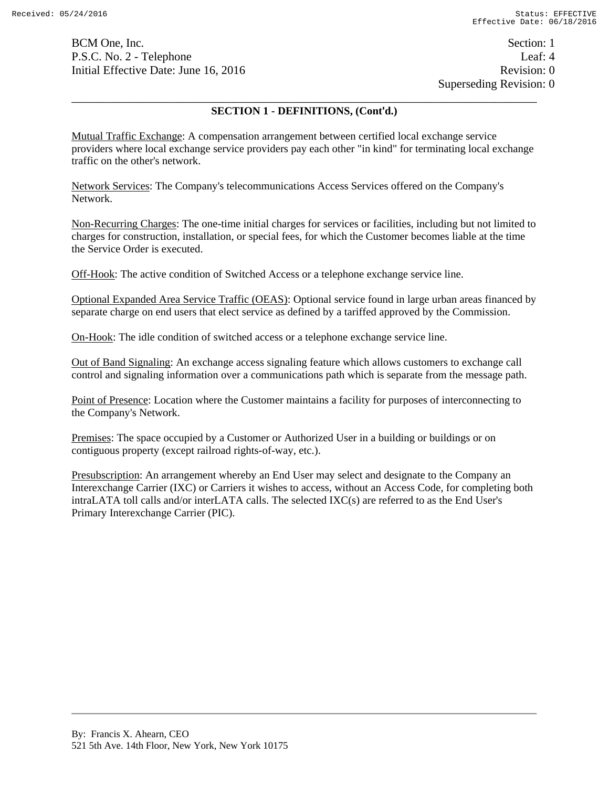BCM One, Inc. Section: 1 P.S.C. No. 2 - Telephone Leaf: 4 Initial Effective Date: June 16, 2016 Revision: 0

 Superseding Revision: 0 \_\_\_\_\_\_\_\_\_\_\_\_\_\_\_\_\_\_\_\_\_\_\_\_\_\_\_\_\_\_\_\_\_\_\_\_\_\_\_\_\_\_\_\_\_\_\_\_\_\_\_\_\_\_\_\_\_\_\_\_\_\_\_\_\_\_\_\_\_\_\_\_\_\_\_\_\_\_

#### **SECTION 1 - DEFINITIONS, (Cont'd.)**

Mutual Traffic Exchange: A compensation arrangement between certified local exchange service providers where local exchange service providers pay each other "in kind" for terminating local exchange traffic on the other's network.

Network Services: The Company's telecommunications Access Services offered on the Company's Network.

Non-Recurring Charges: The one-time initial charges for services or facilities, including but not limited to charges for construction, installation, or special fees, for which the Customer becomes liable at the time the Service Order is executed.

Off-Hook: The active condition of Switched Access or a telephone exchange service line.

Optional Expanded Area Service Traffic (OEAS): Optional service found in large urban areas financed by separate charge on end users that elect service as defined by a tariffed approved by the Commission.

On-Hook: The idle condition of switched access or a telephone exchange service line.

Out of Band Signaling: An exchange access signaling feature which allows customers to exchange call control and signaling information over a communications path which is separate from the message path.

Point of Presence: Location where the Customer maintains a facility for purposes of interconnecting to the Company's Network.

Premises: The space occupied by a Customer or Authorized User in a building or buildings or on contiguous property (except railroad rights-of-way, etc.).

Presubscription: An arrangement whereby an End User may select and designate to the Company an Interexchange Carrier (IXC) or Carriers it wishes to access, without an Access Code, for completing both intraLATA toll calls and/or interLATA calls. The selected IXC(s) are referred to as the End User's Primary Interexchange Carrier (PIC).